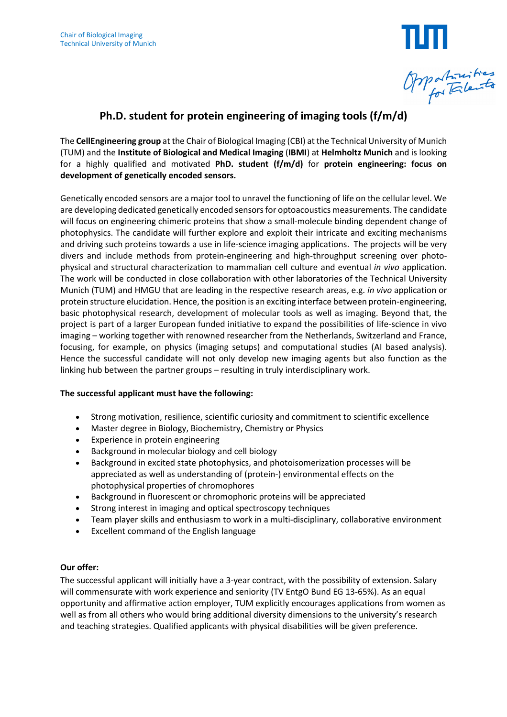

# **Ph.D. student for protein engineering of imaging tools (f/m/d)**

The **CellEngineering group** at the Chair of Biological Imaging (CBI) at the Technical University of Munich (TUM) and the **Institute of Biological and Medical Imaging** (**IBMI**) at **Helmholtz Munich** and is looking for a highly qualified and motivated **PhD. student (f/m/d)** for **protein engineering: focus on development of genetically encoded sensors.**

Genetically encoded sensors are a major tool to unravel the functioning of life on the cellular level. We are developing dedicated genetically encoded sensors for optoacoustics measurements. The candidate will focus on engineering chimeric proteins that show a small-molecule binding dependent change of photophysics. The candidate will further explore and exploit their intricate and exciting mechanisms and driving such proteins towards a use in life-science imaging applications. The projects will be very divers and include methods from protein-engineering and high-throughput screening over photophysical and structural characterization to mammalian cell culture and eventual *in vivo* application. The work will be conducted in close collaboration with other laboratories of the Technical University Munich (TUM) and HMGU that are leading in the respective research areas, e.g. *in vivo* application or protein structure elucidation. Hence, the position is an exciting interface between protein-engineering, basic photophysical research, development of molecular tools as well as imaging. Beyond that, the project is part of a larger European funded initiative to expand the possibilities of life-science in vivo imaging – working together with renowned researcher from the Netherlands, Switzerland and France, focusing, for example, on physics (imaging setups) and computational studies (AI based analysis). Hence the successful candidate will not only develop new imaging agents but also function as the linking hub between the partner groups – resulting in truly interdisciplinary work.

## **The successful applicant must have the following:**

- Strong motivation, resilience, scientific curiosity and commitment to scientific excellence
- Master degree in Biology, Biochemistry, Chemistry or Physics
- Experience in protein engineering
- Background in molecular biology and cell biology
- Background in excited state photophysics, and photoisomerization processes will be appreciated as well as understanding of (protein-) environmental effects on the photophysical properties of chromophores
- Background in fluorescent or chromophoric proteins will be appreciated
- Strong interest in imaging and optical spectroscopy techniques
- Team player skills and enthusiasm to work in a multi-disciplinary, collaborative environment
- Excellent command of the English language

#### **Our offer:**

The successful applicant will initially have a 3-year contract, with the possibility of extension. Salary will commensurate with work experience and seniority (TV EntgO Bund EG 13-65%). As an equal opportunity and affirmative action employer, TUM explicitly encourages applications from women as well as from all others who would bring additional diversity dimensions to the university's research and teaching strategies. Qualified applicants with physical disabilities will be given preference.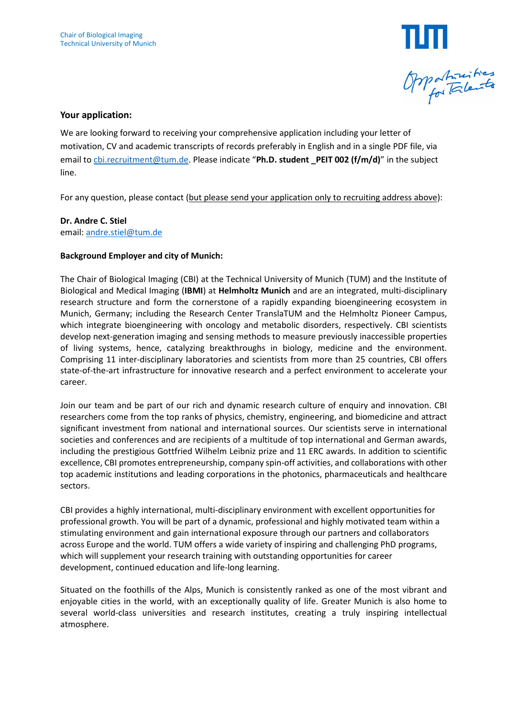

### **Your application:**

We are looking forward to receiving your comprehensive application including your letter of motivation, CV and academic transcripts of records preferably in English and in a single PDF file, via email to cbi.recruitment@tum.de. Please indicate "**Ph.D. student \_PEIT 002 (f/m/d)**" in the subject line.

For any question, please contact (but please send your application only to recruiting address above):

**Dr. Andre C. Stiel**  email: andre.stiel@tum.de

#### **Background Employer and city of Munich:**

The Chair of Biological Imaging (CBI) at the Technical University of Munich (TUM) and the Institute of Biological and Medical Imaging (**IBMI**) at **Helmholtz Munich** and are an integrated, multi-disciplinary research structure and form the cornerstone of a rapidly expanding bioengineering ecosystem in Munich, Germany; including the Research Center TranslaTUM and the Helmholtz Pioneer Campus, which integrate bioengineering with oncology and metabolic disorders, respectively. CBI scientists develop next-generation imaging and sensing methods to measure previously inaccessible properties of living systems, hence, catalyzing breakthroughs in biology, medicine and the environment. Comprising 11 inter-disciplinary laboratories and scientists from more than 25 countries, CBI offers state-of-the-art infrastructure for innovative research and a perfect environment to accelerate your career.

Join our team and be part of our rich and dynamic research culture of enquiry and innovation. CBI researchers come from the top ranks of physics, chemistry, engineering, and biomedicine and attract significant investment from national and international sources. Our scientists serve in international societies and conferences and are recipients of a multitude of top international and German awards, including the prestigious Gottfried Wilhelm Leibniz prize and 11 ERC awards. In addition to scientific excellence, CBI promotes entrepreneurship, company spin-off activities, and collaborations with other top academic institutions and leading corporations in the photonics, pharmaceuticals and healthcare sectors.

CBI provides a highly international, multi-disciplinary environment with excellent opportunities for professional growth. You will be part of a dynamic, professional and highly motivated team within a stimulating environment and gain international exposure through our partners and collaborators across Europe and the world. TUM offers a wide variety of inspiring and challenging PhD programs, which will supplement your research training with outstanding opportunities for career development, continued education and life-long learning.

Situated on the foothills of the Alps, Munich is consistently ranked as one of the most vibrant and enjoyable cities in the world, with an exceptionally quality of life. Greater Munich is also home to several world-class universities and research institutes, creating a truly inspiring intellectual atmosphere.